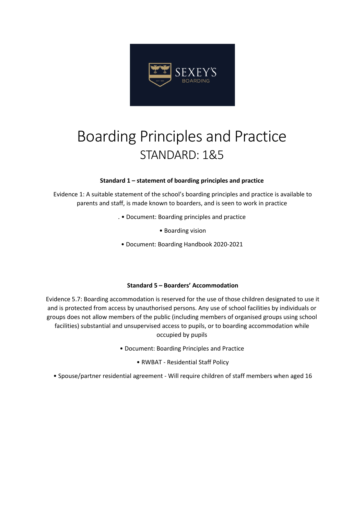

# Boarding Principles and Practice STANDARD: 1&5

#### **Standard 1 – statement of boarding principles and practice**

Evidence 1: A suitable statement of the school's boarding principles and practice is available to parents and staff, is made known to boarders, and is seen to work in practice

- . Document: Boarding principles and practice
	- Boarding vision
- Document: Boarding Handbook 2020-2021

#### **Standard 5 – Boarders' Accommodation**

Evidence 5.7: Boarding accommodation is reserved for the use of those children designated to use it and is protected from access by unauthorised persons. Any use of school facilities by individuals or groups does not allow members of the public (including members of organised groups using school facilities) substantial and unsupervised access to pupils, or to boarding accommodation while occupied by pupils

- Document: Boarding Principles and Practice
	- RWBAT Residential Staff Policy
- Spouse/partner residential agreement Will require children of staff members when aged 16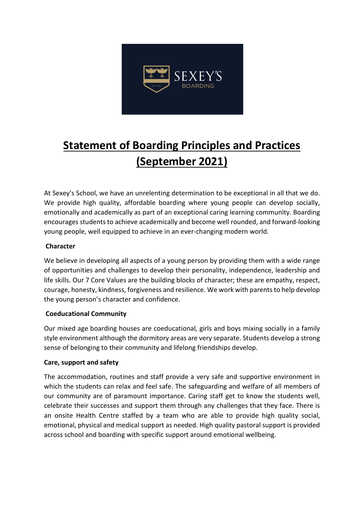

# **Statement of Boarding Principles and Practices (September 2021)**

At Sexey's School, we have an unrelenting determination to be exceptional in all that we do. We provide high quality, affordable boarding where young people can develop socially, emotionally and academically as part of an exceptional caring learning community. Boarding encourages students to achieve academically and become well rounded, and forward-looking young people, well equipped to achieve in an ever-changing modern world.

## **Character**

We believe in developing all aspects of a young person by providing them with a wide range of opportunities and challenges to develop their personality, independence, leadership and life skills. Our 7 Core Values are the building blocks of character; these are empathy, respect, courage, honesty, kindness, forgiveness and resilience. We work with parents to help develop the young person's character and confidence.

### **Coeducational Community**

Our mixed age boarding houses are coeducational, girls and boys mixing socially in a family style environment although the dormitory areas are very separate. Students develop a strong sense of belonging to their community and lifelong friendships develop.

# **Care, support and safety**

The accommodation, routines and staff provide a very safe and supportive environment in which the students can relax and feel safe. The safeguarding and welfare of all members of our community are of paramount importance. Caring staff get to know the students well, celebrate their successes and support them through any challenges that they face. There is an onsite Health Centre staffed by a team who are able to provide high quality social, emotional, physical and medical support as needed. High quality pastoral support is provided across school and boarding with specific support around emotional wellbeing.